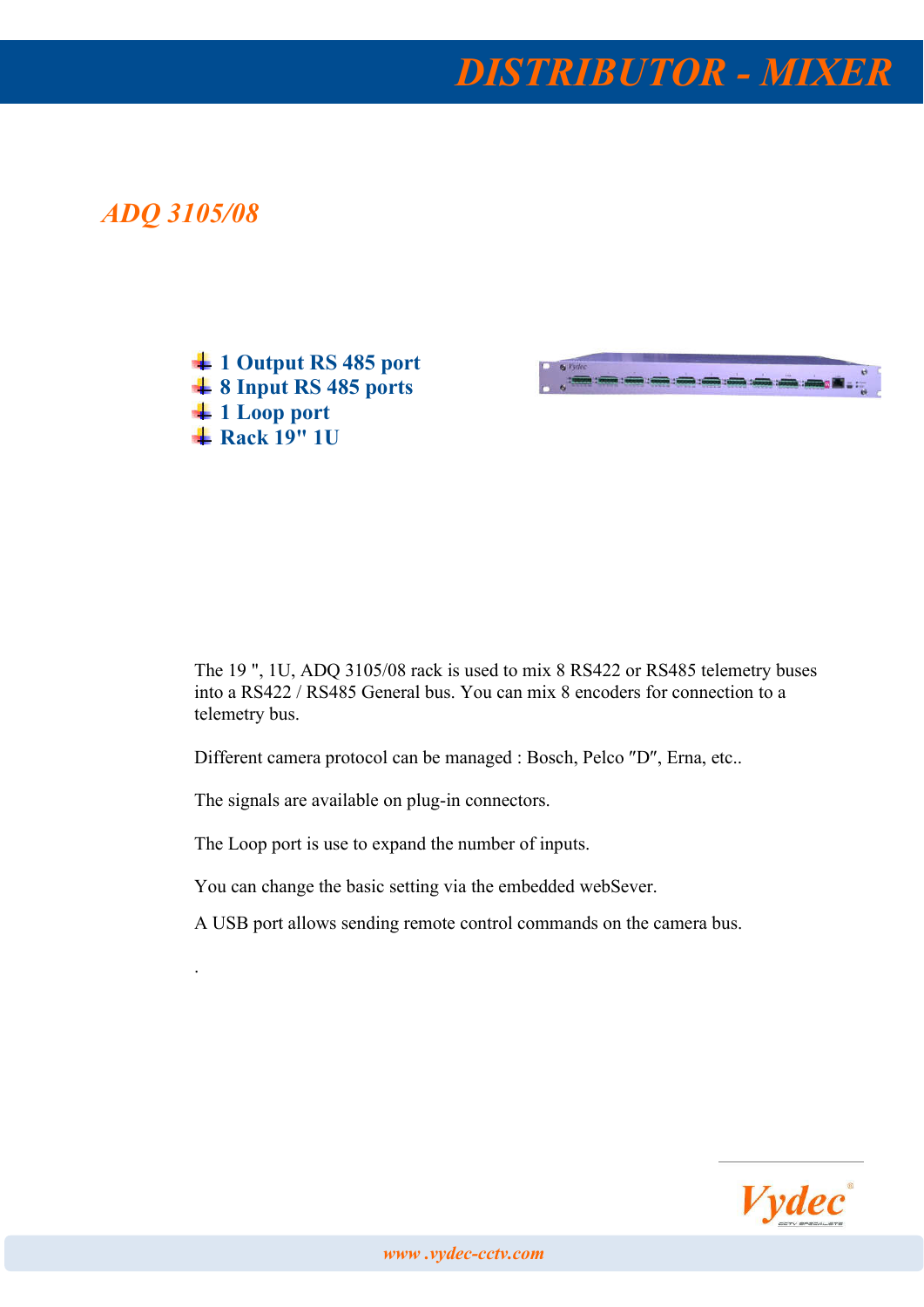*DISTRIBUTOR - MIXER*

## *ADQ 3105/08*

.

<sup>1</sup> 1 Output RS 485 port  $\frac{4}{10}$  8 Input RS 485 ports **↓** 1 Loop port  $\overline{\text{4}$  Rack 19" 1U



The 19 ", 1U, ADQ 3105/08 rack is used to mix 8 RS422 or RS485 telemetry buses into a RS422 / RS485 General bus. You can mix 8 encoders for connection to a telemetry bus.

Different camera protocol can be managed : Bosch, Pelco "D", Erna, etc..

The signals are available on plug-in connectors.

The Loop port is use to expand the number of inputs.

You can change the basic setting via the embedded webSever.

A USB port allows sending remote control commands on the camera bus.